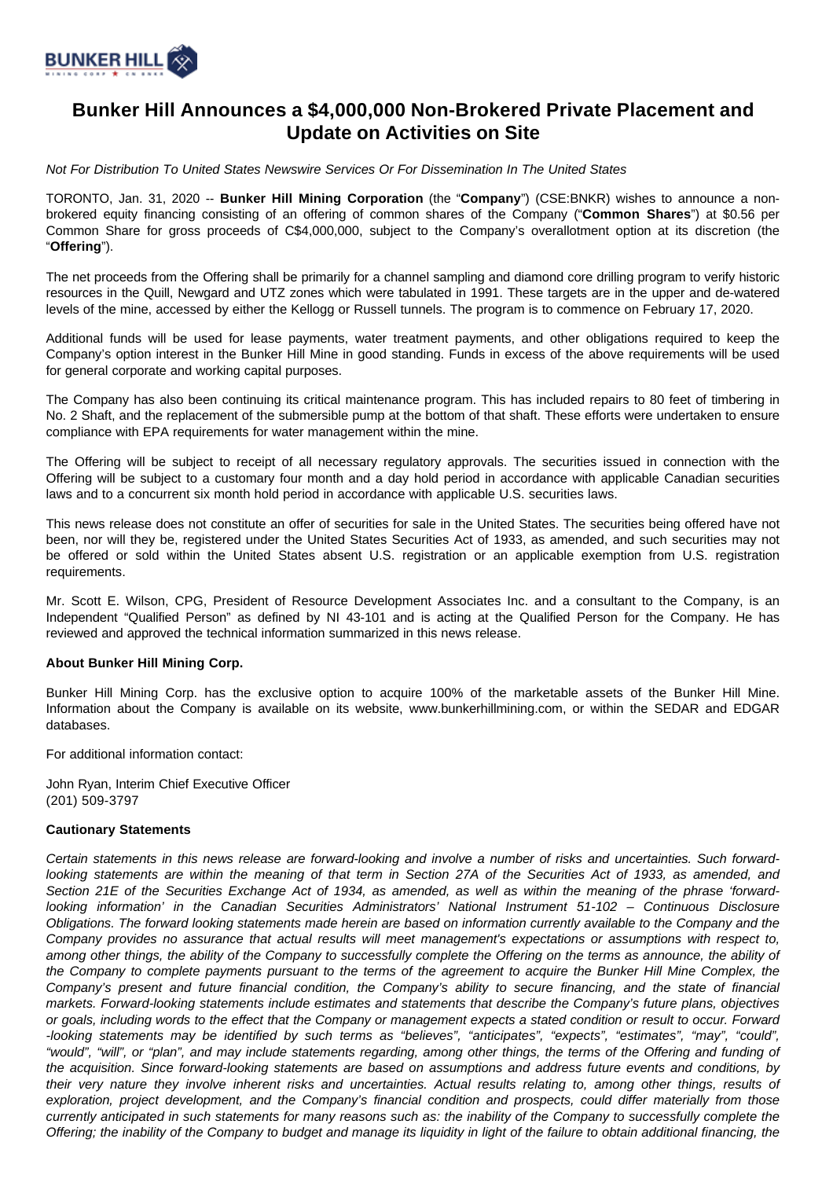

## **Bunker Hill Announces a \$4,000,000 Non-Brokered Private Placement and Update on Activities on Site**

Not For Distribution To United States Newswire Services Or For Dissemination In The United States

TORONTO, Jan. 31, 2020 -- **Bunker Hill Mining Corporation** (the "**Company**") (CSE:BNKR) wishes to announce a nonbrokered equity financing consisting of an offering of common shares of the Company ("**Common Shares**") at \$0.56 per Common Share for gross proceeds of C\$4,000,000, subject to the Company's overallotment option at its discretion (the "**Offering**").

The net proceeds from the Offering shall be primarily for a channel sampling and diamond core drilling program to verify historic resources in the Quill, Newgard and UTZ zones which were tabulated in 1991. These targets are in the upper and de-watered levels of the mine, accessed by either the Kellogg or Russell tunnels. The program is to commence on February 17, 2020.

Additional funds will be used for lease payments, water treatment payments, and other obligations required to keep the Company's option interest in the Bunker Hill Mine in good standing. Funds in excess of the above requirements will be used for general corporate and working capital purposes.

The Company has also been continuing its critical maintenance program. This has included repairs to 80 feet of timbering in No. 2 Shaft, and the replacement of the submersible pump at the bottom of that shaft. These efforts were undertaken to ensure compliance with EPA requirements for water management within the mine.

The Offering will be subject to receipt of all necessary regulatory approvals. The securities issued in connection with the Offering will be subject to a customary four month and a day hold period in accordance with applicable Canadian securities laws and to a concurrent six month hold period in accordance with applicable U.S. securities laws.

This news release does not constitute an offer of securities for sale in the United States. The securities being offered have not been, nor will they be, registered under the United States Securities Act of 1933, as amended, and such securities may not be offered or sold within the United States absent U.S. registration or an applicable exemption from U.S. registration requirements.

Mr. Scott E. Wilson, CPG, President of Resource Development Associates Inc. and a consultant to the Company, is an Independent "Qualified Person" as defined by NI 43-101 and is acting at the Qualified Person for the Company. He has reviewed and approved the technical information summarized in this news release.

## **About Bunker Hill Mining Corp.**

Bunker Hill Mining Corp. has the exclusive option to acquire 100% of the marketable assets of the Bunker Hill Mine. Information about the Company is available on its website, www.bunkerhillmining.com, or within the SEDAR and EDGAR databases.

For additional information contact:

John Ryan, Interim Chief Executive Officer (201) 509-3797

## **Cautionary Statements**

Certain statements in this news release are forward-looking and involve a number of risks and uncertainties. Such forwardlooking statements are within the meaning of that term in Section 27A of the Securities Act of 1933, as amended, and Section 21E of the Securities Exchange Act of 1934, as amended, as well as within the meaning of the phrase 'forwardlooking information' in the Canadian Securities Administrators' National Instrument 51-102 – Continuous Disclosure Obligations. The forward looking statements made herein are based on information currently available to the Company and the Company provides no assurance that actual results will meet management's expectations or assumptions with respect to, among other things, the ability of the Company to successfully complete the Offering on the terms as announce, the ability of the Company to complete payments pursuant to the terms of the agreement to acquire the Bunker Hill Mine Complex, the Company's present and future financial condition, the Company's ability to secure financing, and the state of financial markets. Forward-looking statements include estimates and statements that describe the Company's future plans, objectives or goals, including words to the effect that the Company or management expects a stated condition or result to occur. Forward -looking statements may be identified by such terms as "believes", "anticipates", "expects", "estimates", "may", "could", "would", "will", or "plan", and may include statements regarding, among other things, the terms of the Offering and funding of the acquisition. Since forward-looking statements are based on assumptions and address future events and conditions, by their very nature they involve inherent risks and uncertainties. Actual results relating to, among other things, results of exploration, project development, and the Company's financial condition and prospects, could differ materially from those currently anticipated in such statements for many reasons such as: the inability of the Company to successfully complete the Offering; the inability of the Company to budget and manage its liquidity in light of the failure to obtain additional financing, the